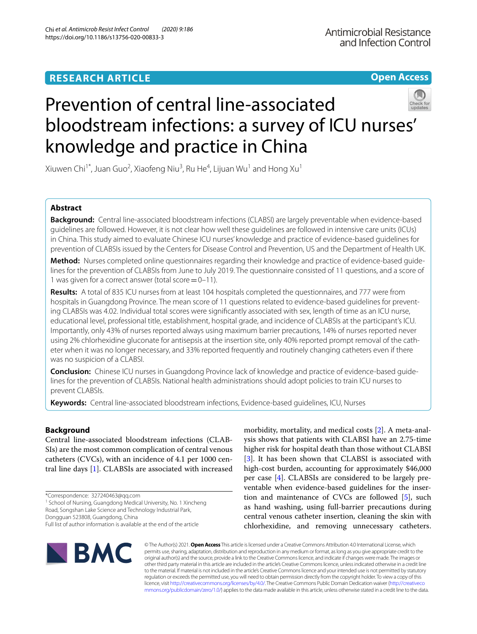**Open Access**

# Prevention of central line-associated bloodstream infections: a survey of ICU nurses' knowledge and practice in China



Xiuwen Chi<sup>1\*</sup>, Juan Guo<sup>2</sup>, Xiaofeng Niu<sup>3</sup>, Ru He<sup>4</sup>, Lijuan Wu<sup>1</sup> and Hong Xu<sup>1</sup>

# **Abstract**

**Background:** Central line-associated bloodstream infections (CLABSI) are largely preventable when evidence-based guidelines are followed. However, it is not clear how well these guidelines are followed in intensive care units (ICUs) in China. This study aimed to evaluate Chinese ICU nurses' knowledge and practice of evidence-based guidelines for prevention of CLABSIs issued by the Centers for Disease Control and Prevention, US and the Department of Health UK.

**Method:** Nurses completed online questionnaires regarding their knowledge and practice of evidence-based guidelines for the prevention of CLABSIs from June to July 2019. The questionnaire consisted of 11 questions, and a score of 1 was given for a correct answer (total score  $=0-11$ ).

**Results:** A total of 835 ICU nurses from at least 104 hospitals completed the questionnaires, and 777 were from hospitals in Guangdong Province. The mean score of 11 questions related to evidence-based guidelines for preventing CLABSIs was 4.02. Individual total scores were signifcantly associated with sex, length of time as an ICU nurse, educational level, professional title, establishment, hospital grade, and incidence of CLABSIs at the participant's ICU. Importantly, only 43% of nurses reported always using maximum barrier precautions, 14% of nurses reported never using 2% chlorhexidine gluconate for antisepsis at the insertion site, only 40% reported prompt removal of the catheter when it was no longer necessary, and 33% reported frequently and routinely changing catheters even if there was no suspicion of a CLABSI.

**Conclusion:** Chinese ICU nurses in Guangdong Province lack of knowledge and practice of evidence-based guidelines for the prevention of CLABSIs. National health administrations should adopt policies to train ICU nurses to prevent CLABSIs.

**Keywords:** Central line-associated bloodstream infections, Evidence-based guidelines, ICU, Nurses

# **Background**

Central line-associated bloodstream infections (CLAB-SIs) are the most common complication of central venous catheters (CVCs), with an incidence of 4.1 per 1000 central line days [[1\]](#page-8-0). CLABSIs are associated with increased

\*Correspondence: 327240463@qq.com

<sup>1</sup> School of Nursing, Guangdong Medical University, No. 1 Xincheng Road, Songshan Lake Science and Technology Industrial Park,

Dongguan 523808, Guangdong, China

morbidity, mortality, and medical costs [\[2](#page-8-1)]. A meta-analysis shows that patients with CLABSI have an 2.75-time higher risk for hospital death than those without CLABSI [[3\]](#page-8-2). It has been shown that CLABSI is associated with high-cost burden, accounting for approximately \$46,000 per case [\[4](#page-8-3)]. CLABSIs are considered to be largely preventable when evidence-based guidelines for the insertion and maintenance of CVCs are followed [[5\]](#page-8-4), such as hand washing, using full-barrier precautions during central venous catheter insertion, cleaning the skin with chlorhexidine, and removing unnecessary catheters.



© The Author(s) 2021. **Open Access** This article is licensed under a Creative Commons Attribution 4.0 International License, which permits use, sharing, adaptation, distribution and reproduction in any medium or format, as long as you give appropriate credit to the original author(s) and the source, provide a link to the Creative Commons licence, and indicate if changes were made. The images or other third party material in this article are included in the article's Creative Commons licence, unless indicated otherwise in a credit line to the material. If material is not included in the article's Creative Commons licence and your intended use is not permitted by statutory regulation or exceeds the permitted use, you will need to obtain permission directly from the copyright holder. To view a copy of this licence, visit [http://creativecommons.org/licenses/by/4.0/.](http://creativecommons.org/licenses/by/4.0/) The Creative Commons Public Domain Dedication waiver ([http://creativeco](http://creativecommons.org/publicdomain/zero/1.0/) [mmons.org/publicdomain/zero/1.0/](http://creativecommons.org/publicdomain/zero/1.0/)) applies to the data made available in this article, unless otherwise stated in a credit line to the data.

Full list of author information is available at the end of the article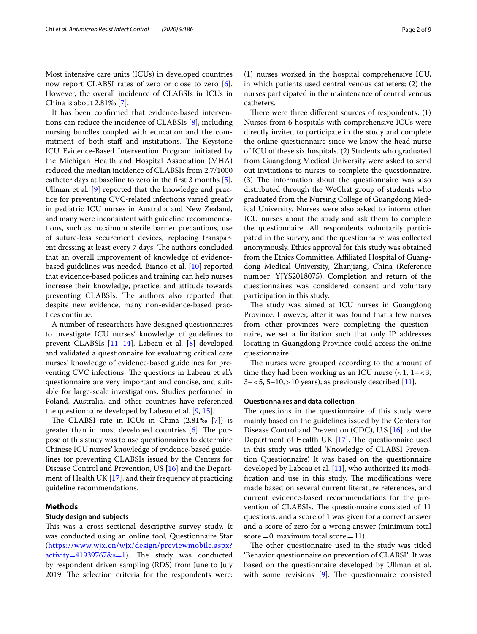Most intensive care units (ICUs) in developed countries now report CLABSI rates of zero or close to zero [\[6](#page-8-5)]. However, the overall incidence of CLABSIs in ICUs in China is about 2.81‰ [[7\]](#page-8-6).

It has been confrmed that evidence-based interventions can reduce the incidence of CLABSIs [\[8](#page-8-7)], including nursing bundles coupled with education and the commitment of both staff and institutions. The Keystone ICU Evidence-Based Intervention Program initiated by the Michigan Health and Hospital Association (MHA) reduced the median incidence of CLABSIs from 2.7/1000 catheter days at baseline to zero in the frst 3 months [\[5](#page-8-4)]. Ullman et al. [\[9](#page-8-8)] reported that the knowledge and practice for preventing CVC-related infections varied greatly in pediatric ICU nurses in Australia and New Zealand, and many were inconsistent with guideline recommendations, such as maximum sterile barrier precautions, use of suture-less securement devices, replacing transparent dressing at least every 7 days. The authors concluded that an overall improvement of knowledge of evidencebased guidelines was needed. Bianco et al. [[10\]](#page-8-9) reported that evidence-based policies and training can help nurses increase their knowledge, practice, and attitude towards preventing CLABSIs. The authors also reported that despite new evidence, many non-evidence-based practices continue.

A number of researchers have designed questionnaires to investigate ICU nurses' knowledge of guidelines to prevent CLABSIs [[11](#page-8-10)[–14](#page-8-11)]. Labeau et al. [\[8](#page-8-7)] developed and validated a questionnaire for evaluating critical care nurses' knowledge of evidence-based guidelines for preventing CVC infections. The questions in Labeau et al.'s questionnaire are very important and concise, and suitable for large-scale investigations. Studies performed in Poland, Australia, and other countries have referenced the questionnaire developed by Labeau et al. [\[9](#page-8-8), [15](#page-8-12)].

The CLABSI rate in ICUs in China  $(2.81\%$  [\[7](#page-8-6)]) is greater than in most developed countries  $[6]$  $[6]$ . The purpose of this study was to use questionnaires to determine Chinese ICU nurses' knowledge of evidence-based guidelines for preventing CLABSIs issued by the Centers for Disease Control and Prevention, US [[16\]](#page-8-13) and the Department of Health UK [[17](#page-8-14)], and their frequency of practicing guideline recommendations.

## **Methods**

# **Study design and subjects**

This was a cross-sectional descriptive survey study. It was conducted using an online tool, Questionnaire Star ([https://www.wjx.cn/wjx/design/previewmobile.aspx?](https://www.wjx.cn/wjx/design/previewmobile.aspx?activity=41939767&s=1)  $activity=41939767&1.$  The study was conducted by respondent driven sampling (RDS) from June to July 2019. The selection criteria for the respondents were:

(1) nurses worked in the hospital comprehensive ICU, in which patients used central venous catheters; (2) the nurses participated in the maintenance of central venous catheters.

There were three different sources of respondents.  $(1)$ Nurses from 6 hospitals with comprehensive ICUs were directly invited to participate in the study and complete the online questionnaire since we know the head nurse of ICU of these six hospitals. (2) Students who graduated from Guangdong Medical University were asked to send out invitations to nurses to complete the questionnaire.  $(3)$  The information about the questionnaire was also distributed through the WeChat group of students who graduated from the Nursing College of Guangdong Medical University. Nurses were also asked to inform other ICU nurses about the study and ask them to complete the questionnaire. All respondents voluntarily participated in the survey, and the questionnaire was collected anonymously. Ethics approval for this study was obtained from the Ethics Committee, Afliated Hospital of Guangdong Medical University, Zhanjiang, China (Reference number: YJYS2018075). Completion and return of the questionnaires was considered consent and voluntary participation in this study.

The study was aimed at ICU nurses in Guangdong Province. However, after it was found that a few nurses from other provinces were completing the questionnaire, we set a limitation such that only IP addresses locating in Guangdong Province could access the online questionnaire.

The nurses were grouped according to the amount of time they had been working as an ICU nurse  $\left( < 1, 1 - < 3, \right)$  $3 - 5$ ,  $5 - 10$ ,  $> 10$  years), as previously described [[11\]](#page-8-10).

#### **Questionnaires and data collection**

The questions in the questionnaire of this study were mainly based on the guidelines issued by the Centers for Disease Control and Prevention (CDC), U.S [\[16\]](#page-8-13). and the Department of Health UK  $[17]$  $[17]$ . The questionnaire used in this study was titled 'Knowledge of CLABSI Prevention Questionnaire'. It was based on the questionnaire developed by Labeau et al. [[11](#page-8-10)], who authorized its modification and use in this study. The modifications were made based on several current literature references, and current evidence-based recommendations for the prevention of CLABSIs. The questionnaire consisted of 11 questions, and a score of 1 was given for a correct answer and a score of zero for a wrong answer (minimum total  $score=0$ , maximum total  $score=11$ .

The other questionnaire used in the study was titled 'Behavior questionnaire on prevention of CLABSI**'**. It was based on the questionnaire developed by Ullman et al. with some revisions  $[9]$  $[9]$ . The questionnaire consisted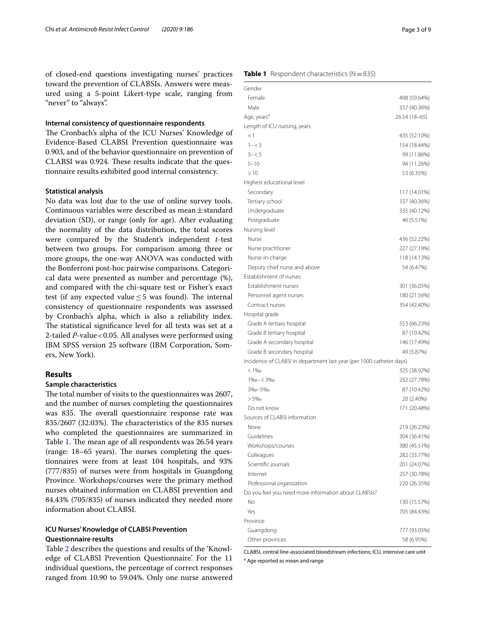of closed-end questions investigating nurses' practices toward the prevention of CLABSIs. Answers were measured using a 5-point Likert-type scale, ranging from "never" to "always".

#### **Internal consistency of questionnaire respondents**

The Cronbach's alpha of the ICU Nurses' Knowledge of Evidence-Based CLABSI Prevention questionnaire was 0.903, and of the behavior questionnaire on prevention of CLABSI was 0.924. These results indicate that the questionnaire results exhibited good internal consistency.

#### **Statistical analysis**

No data was lost due to the use of online survey tools. Continuous variables were described as mean $\pm$ standard deviation (SD), or range (only for age). After evaluating the normality of the data distribution, the total scores were compared by the Student's independent *t*-test between two groups. For comparison among three or more groups, the one-way ANOVA was conducted with the Bonferroni post-hoc pairwise comparisons. Categorical data were presented as number and percentage (%), and compared with the chi-square test or Fisher's exact test (if any expected value  $\leq$  5 was found). The internal consistency of questionnaire respondents was assessed by Cronbach's alpha, which is also a reliability index. The statistical significance level for all tests was set at a 2-tailed *P*-value<0.05. All analyses were performed using IBM SPSS version 25 software (IBM Corporation, Somers, New York).

## **Results**

# **Sample characteristics**

The total number of visits to the questionnaires was 2607, and the number of nurses completing the questionnaires was 835. The overall questionnaire response rate was 835/2607 (32.03%). The characteristics of the 835 nurses who completed the questionnaires are summarized in Table [1](#page-2-0). The mean age of all respondents was 26.54 years  $(range: 18–65 years)$ . The nurses completing the questionnaires were from at least 104 hospitals, and 93% (777/835) of nurses were from hospitals in Guangdong Province. Workshops/courses were the primary method nurses obtained information on CLABSI prevention and 84.43% (705/835) of nurses indicated they needed more information about CLABSI.

# **ICU Nurses' Knowledge of CLABSI Prevention Questionnaire results**

Table [2](#page-3-0) describes the questions and results of the 'Knowledge of CLABSI Prevention Questionnaire'. For the 11 individual questions, the percentage of correct responses ranged from 10.90 to 59.04%. Only one nurse answered

#### <span id="page-2-0"></span>**Table 1** Respondent characteristics (N=835)

| Gender                                                               |               |
|----------------------------------------------------------------------|---------------|
| Female                                                               | 498 (59.64%)  |
| Male                                                                 | 337 (40.36%)  |
| Age, years <sup>a</sup>                                              | 26.54 (18–65) |
| Length of ICU nursing, years                                         |               |
| <1                                                                   | 435 (52.10%)  |
| $1 - < 3$                                                            | 154 (18.44%)  |
| $3 - 5$                                                              | 99 (11.86%)   |
| $5 - 10$                                                             | 94 (11.26%)   |
| >10                                                                  | 53 (6.35%)    |
| Highest educational level                                            |               |
| Secondary                                                            | 117 (14.01%)  |
| Tertiary school                                                      | 337 (40.36%)  |
| Undergraduate                                                        | 335 (40.12%)  |
| Postgraduate                                                         | 46 (5.51%)    |
| Nursing level                                                        |               |
| Nurse                                                                | 436 (52.22%)  |
| Nurse practitioner                                                   | 227 (27.19%)  |
| Nurse-in-charge                                                      | 118 (14.13%)  |
| Deputy chief nurse and above                                         | 54 (6.47%)    |
| <b>Establishment of nurses</b>                                       |               |
| Establishment nurses                                                 | 301 (36.05%)  |
| Personnel agent nurses                                               | 180 (21.56%)  |
| Contract nurses                                                      | 354 (42.40%)  |
| Hospital grade                                                       |               |
| Grade A tertiary hospital                                            | 553 (66.23%)  |
| Grade B tertiary hospital                                            | 87 (10.42%)   |
| Grade A secondary hospital                                           | 146 (17.49%)  |
| Grade B secondary hospital                                           | 49 (5.87%)    |
| Incidence of CLABSI in department last year (per 1000 catheter days) |               |
| $< 1\%$                                                              | 325 (38.92%)  |
| $1\%o - < 3\%o$                                                      | 232 (27.78%)  |
| 3%o-5%o                                                              | 87 (10.42%)   |
| $> 5\%$ o                                                            | 20 (2.40%)    |
| Do not know                                                          | 171 (20.48%)  |
| Sources of CLABSI information                                        |               |
| None                                                                 | 219 (26.23%)  |
| Guidelines                                                           | 304 (36.41%)  |
| Workshops/courses                                                    | 380 (45.51%)  |
| Colleagues                                                           | 282 (33.77%)  |
| Scientific journals                                                  | 201 (24.07%)  |
| Internet                                                             | 257 (30.78%)  |
| Professional organization                                            | 220 (26.35%)  |
| Do you feel you need more information about CLABSIs?                 |               |
| No                                                                   | 130 (15.57%)  |
| Yes                                                                  | 705 (84.43%)  |
| Province                                                             |               |
| Guangdong                                                            | 777 (93.05%)  |
| Other provinces                                                      | 58 (6.95%)    |

CLABSI, central line-associated bloodstream infections; ICU, intensive care unit <sup>a</sup> Age reported as mean and range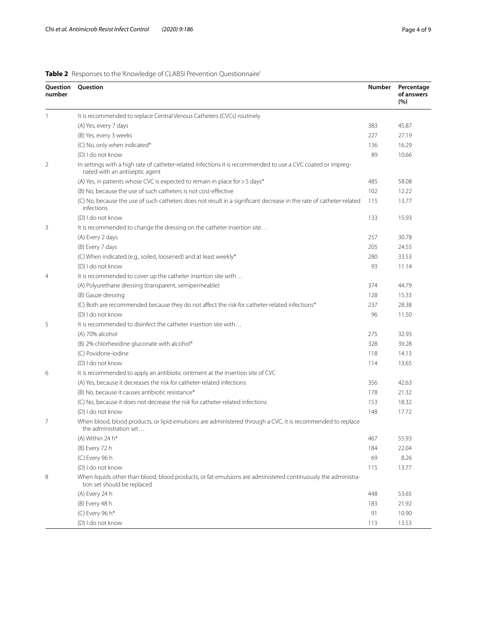<span id="page-3-0"></span>

| <b>Table 2</b> Responses to the 'Knowledge of CLABSI Prevention Questionnaire' |  |
|--------------------------------------------------------------------------------|--|
|--------------------------------------------------------------------------------|--|

| Question<br>number | Question                                                                                                                                                   | <b>Number</b> | Percentage<br>of answers<br>(%) |  |  |  |  |
|--------------------|------------------------------------------------------------------------------------------------------------------------------------------------------------|---------------|---------------------------------|--|--|--|--|
| 1                  | It is recommended to replace Central Venous Catheters (CVCs) routinely                                                                                     |               |                                 |  |  |  |  |
|                    | (A) Yes, every 7 days                                                                                                                                      | 383           | 45.87                           |  |  |  |  |
|                    | (B) Yes, every 3 weeks                                                                                                                                     | 227           | 27.19                           |  |  |  |  |
|                    | (C) No, only when indicated*                                                                                                                               | 136           | 16.29                           |  |  |  |  |
|                    | (D) I do not know                                                                                                                                          | 89            | 10.66                           |  |  |  |  |
| $\overline{2}$     | In settings with a high rate of catheter-related infections it is recommended to use a CVC coated or impreg-<br>nated with an antiseptic agent             |               |                                 |  |  |  |  |
|                    | (A) Yes, in patients whose CVC is expected to remain in place for > 5 days*                                                                                | 485           | 58.08                           |  |  |  |  |
|                    | (B) No. because the use of such catheters is not cost-effective                                                                                            | 102           | 12.22                           |  |  |  |  |
|                    | (C) No, because the use of such catheters does not result in a significant decrease in the rate of catheter-related<br>infections                          | 115           | 13.77                           |  |  |  |  |
|                    | (D) I do not know                                                                                                                                          | 133           | 15.93                           |  |  |  |  |
| 3                  | It is recommended to change the dressing on the catheter insertion site                                                                                    |               |                                 |  |  |  |  |
|                    | (A) Every 2 days                                                                                                                                           | 257           | 30.78                           |  |  |  |  |
|                    | (B) Every 7 days                                                                                                                                           | 205           | 24.55                           |  |  |  |  |
|                    | (C) When indicated (e.g., soiled, loosened) and at least weekly*                                                                                           | 280           | 33.53                           |  |  |  |  |
|                    | (D) I do not know                                                                                                                                          | 93            | 11.14                           |  |  |  |  |
| $\overline{4}$     | It is recommended to cover up the catheter insertion site with                                                                                             |               |                                 |  |  |  |  |
|                    | (A) Polyurethane dressing (transparent, semipermeable)                                                                                                     | 374           | 44.79                           |  |  |  |  |
|                    | (B) Gauze dressing                                                                                                                                         | 128           | 15.33                           |  |  |  |  |
|                    | (C) Both are recommended because they do not affect the risk for catheter-related infections*                                                              | 237           | 28.38                           |  |  |  |  |
|                    | (D) I do not know                                                                                                                                          | 96            | 11.50                           |  |  |  |  |
| 5                  | It is recommended to disinfect the catheter insertion site with                                                                                            |               |                                 |  |  |  |  |
|                    | (A) 70% alcohol                                                                                                                                            | 275           | 32.93                           |  |  |  |  |
|                    | (B) 2% chlorhexidine gluconate with alcohol*                                                                                                               | 328           | 39.28                           |  |  |  |  |
|                    | (C) Povidone-iodine                                                                                                                                        | 118           | 14.13                           |  |  |  |  |
|                    | (D) I do not know                                                                                                                                          | 114           | 13.65                           |  |  |  |  |
| 6                  | It is recommended to apply an antibiotic ointment at the insertion site of CVC                                                                             |               |                                 |  |  |  |  |
|                    | (A) Yes, because it decreases the risk for catheter-related infections                                                                                     | 356           | 42.63                           |  |  |  |  |
|                    | (B) No, because it causes antibiotic resistance*                                                                                                           | 178           | 21.32                           |  |  |  |  |
|                    | (C) No, because it does not decrease the risk for catheter-related infections                                                                              | 153           | 18.32                           |  |  |  |  |
| 7                  | (D) I do not know<br>When blood, blood products, or lipid emulsions are administered through a CVC, it is recommended to replace<br>the administration set | 148           | 17.72                           |  |  |  |  |
|                    | (A) Within 24 h*                                                                                                                                           | 467           | 55.93                           |  |  |  |  |
|                    | (B) Every 72 h                                                                                                                                             | 184           | 22.04                           |  |  |  |  |
|                    | (C) Every 96 h                                                                                                                                             | 69            | 8.26                            |  |  |  |  |
|                    | (D) I do not know                                                                                                                                          | 115           | 13.77                           |  |  |  |  |
| 8                  | When liquids other than blood, blood products, or fat emulsions are administered continuously the administra-<br>tion set should be replaced               |               |                                 |  |  |  |  |
|                    | (A) Every 24 h                                                                                                                                             | 448           | 53.65                           |  |  |  |  |
|                    | (B) Every 48 h                                                                                                                                             | 183           | 21.92                           |  |  |  |  |
|                    | (C) Every 96 h*                                                                                                                                            | 91            | 10.90                           |  |  |  |  |
|                    | (D) I do not know                                                                                                                                          | 113           | 13.53                           |  |  |  |  |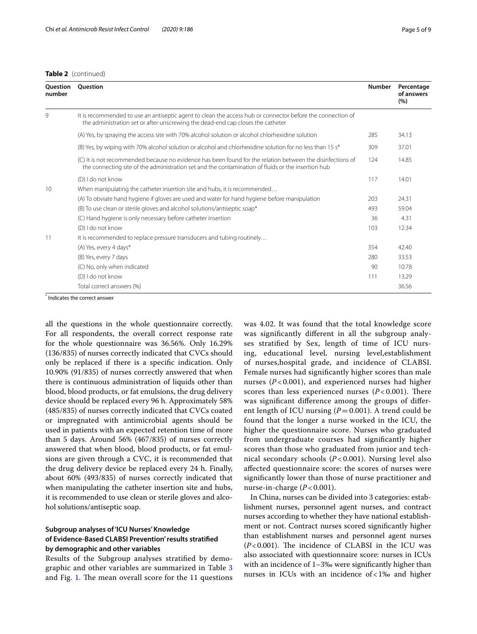| <b>Ouestion</b><br>number | <b>Ouestion</b>                                                                                                                                                                                                  | <b>Number</b> | Percentage<br>of answers<br>(%) |
|---------------------------|------------------------------------------------------------------------------------------------------------------------------------------------------------------------------------------------------------------|---------------|---------------------------------|
| 9                         | It is recommended to use an antiseptic agent to clean the access hub or connector before the connection of<br>the administration set or after unscrewing the dead-end cap closes the catheter                    |               |                                 |
|                           | (A) Yes, by spraying the access site with 70% alcohol solution or alcohol chlorhexidine solution                                                                                                                 | 285           | 34.13                           |
|                           | (B) Yes, by wiping with 70% alcohol solution or alcohol and chlorhexidine solution for no less than 15 s*                                                                                                        | 309           | 37.01                           |
|                           | (C) It is not recommended because no evidence has been found for the relation between the disinfections of<br>the connecting site of the administration set and the contamination of fluids or the insertion hub | 124           | 14.85                           |
|                           | (D) I do not know                                                                                                                                                                                                | 117           | 14.01                           |
| 10                        | When manipulating the catheter insertion site and hubs, it is recommended                                                                                                                                        |               |                                 |
|                           | (A) To obviate hand hygiene if gloves are used and water for hand hygiene before manipulation                                                                                                                    | 203           | 24.31                           |
|                           | (B) To use clean or sterile gloves and alcohol solutions/antiseptic soap*                                                                                                                                        | 493           | 59.04                           |
|                           | (C) Hand hygiene is only necessary before catheter insertion                                                                                                                                                     | 36            | 4.31                            |
|                           | (D) I do not know                                                                                                                                                                                                | 103           | 12.34                           |
| 11                        | It is recommended to replace pressure transducers and tubing routinely                                                                                                                                           |               |                                 |
|                           | (A) Yes, every 4 days*                                                                                                                                                                                           | 354           | 42.40                           |
|                           | (B) Yes, every 7 days                                                                                                                                                                                            | 280           | 33.53                           |
|                           | (C) No, only when indicated                                                                                                                                                                                      | 90            | 10.78                           |
|                           | (D) I do not know                                                                                                                                                                                                | 111           | 13.29                           |
|                           | Total correct answers (%)                                                                                                                                                                                        |               | 36.56                           |

\* Indicates the correct answer

all the questions in the whole questionnaire correctly. For all respondents, the overall correct response rate for the whole questionnaire was 36.56%. Only 16.29% (136/835) of nurses correctly indicated that CVCs should only be replaced if there is a specifc indication. Only 10.90% (91/835) of nurses correctly answered that when there is continuous administration of liquids other than blood, blood products, or fat emulsions, the drug delivery device should be replaced every 96 h. Approximately 58% (485/835) of nurses correctly indicated that CVCs coated or impregnated with antimicrobial agents should be used in patients with an expected retention time of more than 5 days. Around 56% (467/835) of nurses correctly answered that when blood, blood products, or fat emulsions are given through a CVC, it is recommended that the drug delivery device be replaced every 24 h. Finally, about 60% (493/835) of nurses correctly indicated that when manipulating the catheter insertion site and hubs, it is recommended to use clean or sterile gloves and alcohol solutions/antiseptic soap.

# **Subgroup analyses of 'ICU Nurses' Knowledge of Evidence‑Based CLABSI Prevention' results stratifed by demographic and other variables**

Results of the Subgroup analyses stratifed by demographic and other variables are summarized in Table [3](#page-5-0) and Fig. [1.](#page-6-0) The mean overall score for the 11 questions was 4.02. It was found that the total knowledge score was signifcantly diferent in all the subgroup analyses stratifed by Sex, length of time of ICU nursing, educational level, nursing level,establishment of nurses,hospital grade, and incidence of CLABSI. Female nurses had signifcantly higher scores than male nurses (*P* < 0.001), and experienced nurses had higher scores than less experienced nurses  $(P<0.001)$ . There was signifcant diference among the groups of diferent length of ICU nursing  $(P=0.001)$ . A trend could be found that the longer a nurse worked in the ICU, the higher the questionnaire score. Nurses who graduated from undergraduate courses had signifcantly higher scores than those who graduated from junior and technical secondary schools (*P* < 0.001). Nursing level also afected questionnaire score: the scores of nurses were signifcantly lower than those of nurse practitioner and nurse-in-charge (*P* < 0.001).

In China, nurses can be divided into 3 categories: establishment nurses, personnel agent nurses, and contract nurses according to whether they have national establishment or not. Contract nurses scored signifcantly higher than establishment nurses and personnel agent nurses  $(P<0.001)$ . The incidence of CLABSI in the ICU was also associated with questionnaire score: nurses in ICUs with an incidence of 1–3‰ were signifcantly higher than nurses in ICUs with an incidence of<1‰ and higher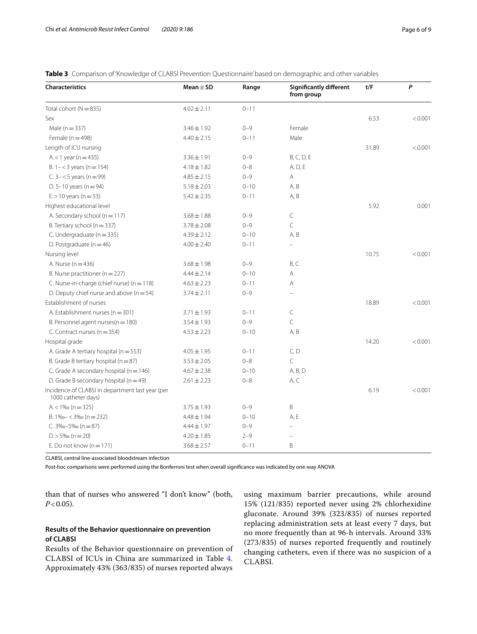<span id="page-5-0"></span>

|  |  |  |  | Table 3 Comparison of 'Knowledge of CLABSI Prevention Questionnaire' based on demographic and other variables |  |  |
|--|--|--|--|---------------------------------------------------------------------------------------------------------------|--|--|
|--|--|--|--|---------------------------------------------------------------------------------------------------------------|--|--|

| <b>Characteristics</b>                                                  | Mean $\pm$ SD   | Range    | <b>Significantly different</b><br>from group | t/F   | P       |
|-------------------------------------------------------------------------|-----------------|----------|----------------------------------------------|-------|---------|
| Total cohort ( $N = 835$ )                                              | $4.02 \pm 2.11$ | $0 - 11$ |                                              |       |         |
| Sex                                                                     |                 |          |                                              | 6.53  | < 0.001 |
| Male ( $n = 337$ )                                                      | $3.46 \pm 1.92$ | $0 - 9$  | Female                                       |       |         |
| Female ( $n = 498$ )                                                    | $4.40 \pm 2.15$ | $0 - 11$ | Male                                         |       |         |
| Length of ICU nursing                                                   |                 |          |                                              | 31.89 | < 0.001 |
| $A < 1$ year (n = 435)                                                  | $3.36 \pm 1.91$ | $0 - 9$  | B, C, D, E                                   |       |         |
| B. $1 - < 3$ years (n = 154)                                            | $4.18 \pm 1.82$ | $0 - 8$  | A, D, E                                      |       |         |
| C. $3 - 5$ years (n = 99)                                               | $4.85 \pm 2.15$ | $0 - 9$  | Α                                            |       |         |
| D. 5-10 years ( $n = 94$ )                                              | $5.18 \pm 2.03$ | $0 - 10$ | A, B                                         |       |         |
| $E > 10$ years (n = 53)                                                 | $5.42 \pm 2.35$ | $0 - 11$ | A, B                                         |       |         |
| Highest educational level                                               |                 |          |                                              | 5.92  | 0.001   |
| A. Secondary school (n = 117)                                           | $3.68 \pm 1.88$ | $0 - 9$  | $\subset$                                    |       |         |
| B. Tertiary school (n = 337)                                            | $3.78 \pm 2.08$ | $0 - 9$  | $\mathsf{C}$                                 |       |         |
| C. Undergraduate ( $n = 335$ )                                          | $4.39 \pm 2.12$ | $0 - 10$ | A, B                                         |       |         |
| D. Postgraduate $(n = 46)$                                              | $4.00 \pm 2.40$ | $0 - 11$ |                                              |       |         |
| Nursing level                                                           |                 |          |                                              | 10.75 | < 0.001 |
| A. Nurse (n = 436)                                                      | $3.68 \pm 1.98$ | $0 - 9$  | B, C                                         |       |         |
| B. Nurse practitioner ( $n = 227$ )                                     | $4.44 \pm 2.14$ | $0 - 10$ | A                                            |       |         |
| C. Nurse-in-charge (chief nurse) ( $n = 118$ )                          | $4.63 \pm 2.23$ | $0 - 11$ | A                                            |       |         |
| D. Deputy chief nurse and above $(n = 54)$                              | $3.74 \pm 2.11$ | $0 - 9$  |                                              |       |         |
| Establishment of nurses                                                 |                 |          |                                              | 18.89 | < 0.001 |
| A. Establishment nurses ( $n = 301$ )                                   | $3.71 \pm 1.93$ | $0 - 11$ | C                                            |       |         |
| B. Personnel agent nurses(n = 180)                                      | $3.54 \pm 1.93$ | $0 - 9$  | C                                            |       |         |
| C. Contract nurses (n = 354)                                            | $4.53 \pm 2.23$ | $0 - 10$ | A, B                                         |       |         |
| Hospital grade                                                          |                 |          |                                              | 14.20 | < 0.001 |
| A. Grade A tertiary hospital ( $n = 553$ )                              | $4.05 \pm 1.95$ | $0 - 11$ | C, D                                         |       |         |
| B. Grade B tertiary hospital ( $n = 87$ )                               | $3.53 \pm 2.05$ | $0 - 8$  | $\subset$                                    |       |         |
| C. Grade A secondary hospital ( $n = 146$ )                             | $4.67 \pm 2.38$ | $0 - 10$ | A, B, D                                      |       |         |
| D. Grade B secondary hospital ( $n = 49$ )                              | $2.61 \pm 2.23$ | $0 - 8$  | A, C                                         |       |         |
| Incidence of CLABSI in department last year (per<br>1000 catheter days) |                 |          |                                              | 6.19  | < 0.001 |
| $A < 1\%$ (n = 325)                                                     | $3.75 \pm 1.93$ | $0 - 9$  | B                                            |       |         |
| B. $1\% - 3\%$ (n = 232)                                                | $4.48 \pm 1.94$ | $0 - 10$ | A, E                                         |       |         |
| C. $3\%0 - 5\%0$ (n = 87)                                               | $4.44 \pm 1.97$ | $0 - 9$  | $\equiv$                                     |       |         |
| $D > 5\%$ (n = 20)                                                      | $4.20 \pm 1.85$ | $2 - 9$  |                                              |       |         |
| E. Do not know $(n = 171)$                                              | $3.68 \pm 2.57$ | $0 - 11$ | B                                            |       |         |

CLABSI, central line-associated bloodstream infection

Post-hoc comparisons were performed using the Bonferroni test when overall signifcance was indicated by one-way ANOVA

than that of nurses who answered "I don't know" (both,  $P < 0.05$ ).

# **Results of the Behavior questionnaire on prevention of CLABSI**

Results of the Behavior questionnaire on prevention of CLABSI of ICUs in China are summarized in Table [4](#page-6-1). Approximately 43% (363/835) of nurses reported always

using maximum barrier precautions, while around 15% (121/835) reported never using 2% chlorhexidine gluconate. Around 39% (323/835) of nurses reported replacing administration sets at least every 7 days, but no more frequently than at 96-h intervals. Around 33% (273/835) of nurses reported frequently and routinely changing catheters, even if there was no suspicion of a CLABSI.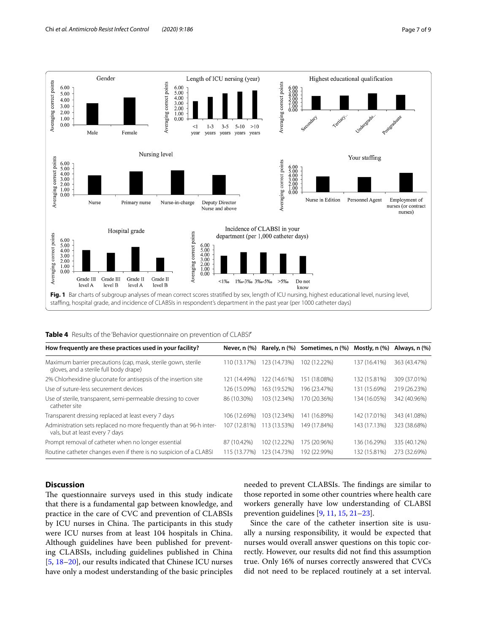

<span id="page-6-1"></span><span id="page-6-0"></span>

|  |  |  | Table 4 Results of the 'Behavior questionnaire on prevention of CLABSI' |  |  |
|--|--|--|-------------------------------------------------------------------------|--|--|
|--|--|--|-------------------------------------------------------------------------|--|--|

| How frequently are these practices used in your facility?                                               | Never, n (%)      |              | Rarely, n (%) Sometimes, n (%) | Mostly, n (%) | Always, n (%) |
|---------------------------------------------------------------------------------------------------------|-------------------|--------------|--------------------------------|---------------|---------------|
| Maximum barrier precautions (cap, mask, sterile gown, sterile<br>gloves, and a sterile full body drape) | 110 (13.17%)      | 123 (14.73%) | 102 (12.22%)                   | 137 (16.41%)  | 363 (43.47%)  |
| 2% Chlorhexidine gluconate for antisepsis of the insertion site                                         | 121 (14.49%)      | 122 (14.61%) | 151 (18.08%)                   | 132 (15.81%)  | 309 (37.01%)  |
| Use of suture-less securement devices                                                                   | 126 (15.09%)      | 163 (19.52%) | 196 (23.47%)                   | 131 (15.69%)  | 219 (26.23%)  |
| Use of sterile, transparent, semi-permeable dressing to cover<br>catheter site                          | 86 (10.30%)       | 103 (12.34%) | 170 (20.36%)                   | 134 (16.05%)  | 342 (40.96%)  |
| Transparent dressing replaced at least every 7 days                                                     | 106 (12.69%)      | 103 (12.34%) | 141 (16.89%)                   | 142 (17.01%)  | 343 (41.08%)  |
| Administration sets replaced no more frequently than at 96-h inter-<br>vals, but at least every 7 days  | 107 (12.81%)      | (13.53%)     | 149 (17.84%)                   | 143 (17.13%)  | 323 (38.68%)  |
| Prompt removal of catheter when no longer essential                                                     | 87 (10.42%)       | 102 (12.22%) | 175 (20.96%)                   | 136 (16.29%)  | 335 (40.12%)  |
| Routine catheter changes even if there is no suspicion of a CLABSI                                      | (13.77%)<br>115 ( | 123 (14.73%) | 192 (22.99%)                   | 132 (15.81%)  | 273 (32.69%)  |

# **Discussion**

The questionnaire surveys used in this study indicate that there is a fundamental gap between knowledge, and practice in the care of CVC and prevention of CLABSIs by ICU nurses in China. The participants in this study were ICU nurses from at least 104 hospitals in China. Although guidelines have been published for preventing CLABSIs, including guidelines published in China [[5,](#page-8-4) [18](#page-8-15)[–20](#page-8-16)], our results indicated that Chinese ICU nurses have only a modest understanding of the basic principles needed to prevent CLABSIs. The findings are similar to those reported in some other countries where health care workers generally have low understanding of CLABSI prevention guidelines [\[9](#page-8-8), [11,](#page-8-10) [15](#page-8-12), [21](#page-8-17)[–23](#page-8-18)].

Since the care of the catheter insertion site is usually a nursing responsibility, it would be expected that nurses would overall answer questions on this topic correctly. However, our results did not fnd this assumption true. Only 16% of nurses correctly answered that CVCs did not need to be replaced routinely at a set interval.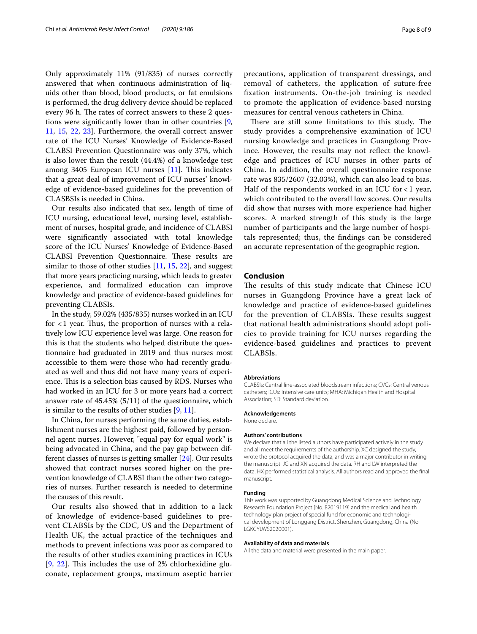Only approximately 11% (91/835) of nurses correctly answered that when continuous administration of liquids other than blood, blood products, or fat emulsions is performed, the drug delivery device should be replaced every 96 h. The rates of correct answers to these 2 questions were signifcantly lower than in other countries [\[9](#page-8-8), [11,](#page-8-10) [15](#page-8-12), [22,](#page-8-19) [23\]](#page-8-18). Furthermore, the overall correct answer rate of the ICU Nurses' Knowledge of Evidence-Based CLABSI Prevention Questionnaire was only 37%, which is also lower than the result (44.4%) of a knowledge test among 3405 European ICU nurses  $[11]$  $[11]$ . This indicates that a great deal of improvement of ICU nurses' knowledge of evidence-based guidelines for the prevention of CLASBSIs is needed in China.

Our results also indicated that sex, length of time of ICU nursing, educational level, nursing level, establishment of nurses, hospital grade, and incidence of CLABSI were signifcantly associated with total knowledge score of the ICU Nurses' Knowledge of Evidence-Based CLABSI Prevention Questionnaire. These results are similar to those of other studies  $[11, 15, 22]$  $[11, 15, 22]$  $[11, 15, 22]$  $[11, 15, 22]$  $[11, 15, 22]$  $[11, 15, 22]$ , and suggest that more years practicing nursing, which leads to greater experience, and formalized education can improve knowledge and practice of evidence-based guidelines for preventing CLABSIs.

In the study, 59.02% (435/835) nurses worked in an ICU for  $<$ 1 year. Thus, the proportion of nurses with a relatively low ICU experience level was large. One reason for this is that the students who helped distribute the questionnaire had graduated in 2019 and thus nurses most accessible to them were those who had recently graduated as well and thus did not have many years of experience. This is a selection bias caused by RDS. Nurses who had worked in an ICU for 3 or more years had a correct answer rate of 45.45% (5/11) of the questionnaire, which is similar to the results of other studies [[9,](#page-8-8) [11](#page-8-10)].

In China, for nurses performing the same duties, establishment nurses are the highest paid, followed by personnel agent nurses. However, "equal pay for equal work" is being advocated in China, and the pay gap between different classes of nurses is getting smaller [[24\]](#page-8-20). Our results showed that contract nurses scored higher on the prevention knowledge of CLABSI than the other two categories of nurses. Further research is needed to determine the causes of this result.

Our results also showed that in addition to a lack of knowledge of evidence-based guidelines to prevent CLABSIs by the CDC, US and the Department of Health UK, the actual practice of the techniques and methods to prevent infections was poor as compared to the results of other studies examining practices in ICUs  $[9, 22]$  $[9, 22]$  $[9, 22]$  $[9, 22]$  $[9, 22]$ . This includes the use of 2% chlorhexidine gluconate, replacement groups, maximum aseptic barrier precautions, application of transparent dressings, and removal of catheters, the application of suture-free fxation instruments. On-the-job training is needed to promote the application of evidence-based nursing measures for central venous catheters in China.

There are still some limitations to this study. The study provides a comprehensive examination of ICU nursing knowledge and practices in Guangdong Province. However, the results may not refect the knowledge and practices of ICU nurses in other parts of China. In addition, the overall questionnaire response rate was 835/2607 (32.03%), which can also lead to bias. Half of the respondents worked in an ICU for  $<$  1 year, which contributed to the overall low scores. Our results did show that nurses with more experience had higher scores. A marked strength of this study is the large number of participants and the large number of hospitals represented; thus, the fndings can be considered an accurate representation of the geographic region.

#### **Conclusion**

The results of this study indicate that Chinese ICU nurses in Guangdong Province have a great lack of knowledge and practice of evidence-based guidelines for the prevention of CLABSIs. These results suggest that national health administrations should adopt policies to provide training for ICU nurses regarding the evidence-based guidelines and practices to prevent CLABSIs.

#### **Abbreviations**

CLABSIs: Central line-associated bloodstream infections; CVCs: Central venous catheters; ICUs: Intensive care units; MHA: Michigan Health and Hospital Association; SD: Standard deviation.

#### **Acknowledgements**

None declare.

#### **Authors' contributions**

We declare that all the listed authors have participated actively in the study and all meet the requirements of the authorship. XC designed the study, wrote the protocol acquired the data, and was a major contributor in writing the manuscript. JG and XN acquired the data. RH and LW interpreted the data. HX performed statistical analysis. All authors read and approved the fnal manuscript.

#### **Funding**

This work was supported by Guangdong Medical Science and Technology Research Foundation Project [No. B2019119] and the medical and health technology plan project of special fund for economic and technological development of Longgang District, Shenzhen, Guangdong, China (No. LGKCYLWS2020001).

#### **Availability of data and materials**

All the data and material were presented in the main paper.